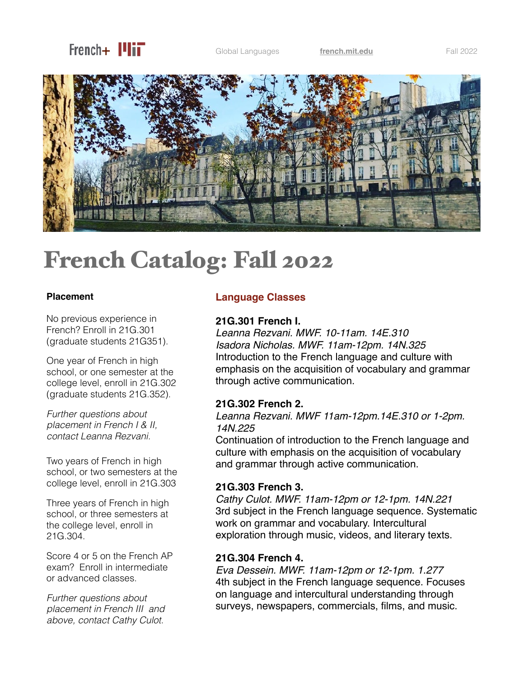

Global Languages **[french.mit.edu](http://french.mit.edu)** Fall 2022



# French Catalog: Fall 2022

#### **Placement**

No previous experience in French? Enroll in 21G.301 (graduate students 21G351).

One year of French in high school, or one semester at the college level, enroll in 21G.302 (graduate students 21G.352).

*Further questions about placement in French I & II, contact Leanna Rezvani.*

Two years of French in high school, or two semesters at the college level, enroll in 21G.303

Three years of French in high school, or three semesters at the college level, enroll in 21G.304.

Score 4 or 5 on the French AP exam? Enroll in intermediate or advanced classes.

*Further questions about placement in French III and above, contact Cathy Culot*.

## **Language Classes**

#### **21G.301 French I.**

*Leanna Rezvani. MWF. 10-11am. 14E.310 Isadora Nicholas. MWF. 11am-12pm. 14N.325* Introduction to the French language and culture with emphasis on the acquisition of vocabulary and grammar through active communication.

## **21G.302 French 2.**

*Leanna Rezvani. MWF 11am-12pm.14E.310 or 1-2pm. 14N.225*

Continuation of introduction to the French language and culture with emphasis on the acquisition of vocabulary and grammar through active communication.

## **21G.303 French 3.**

*Cathy Culot. MWF. 11am-12pm or 12-1pm. 14N.221* 3rd subject in the French language sequence. Systematic work on grammar and vocabulary. Intercultural exploration through music, videos, and literary texts.

#### **21G.304 French 4.**

*Eva Dessein. MWF. 11am-12pm or 12-1pm. 1.277* 4th subject in the French language sequence. Focuses on language and intercultural understanding through surveys, newspapers, commercials, films, and music.